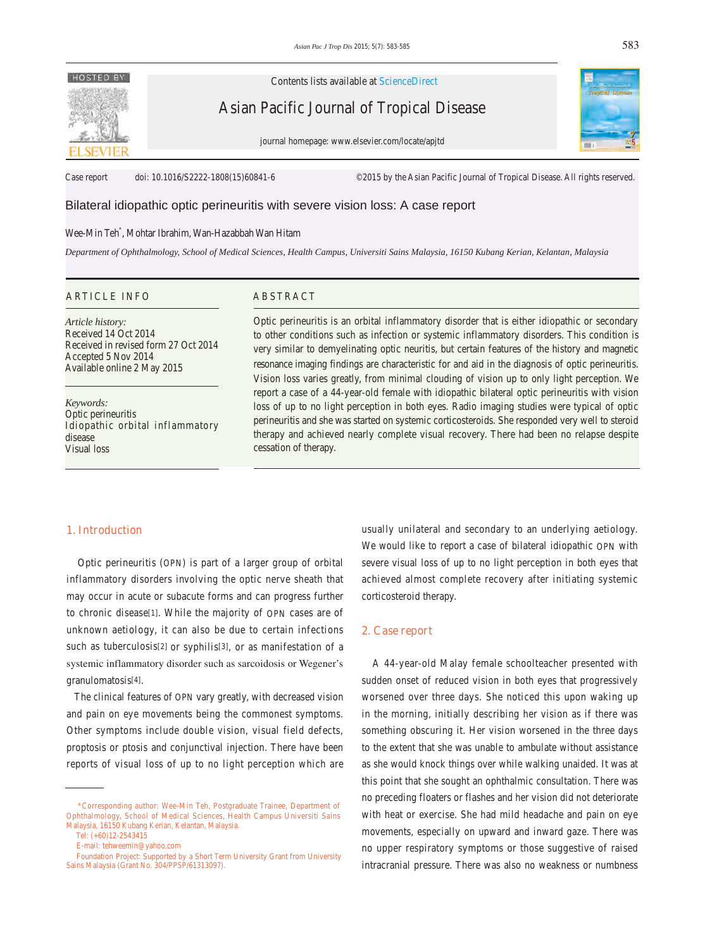# **HOSTED BY**

Contents lists available at ScienceDirect

Asian Pacific Journal of Tropical Disease

journal homepage: www.elsevier.com/locate/apjtd



Case report doi: 10.1016/S2222-1808(15)60841-6 ©2015 by the Asian Pacific Journal of Tropical Disease. All rights reserved.

# Bilateral idiopathic optic perineuritis with severe vision loss: A case report

# Wee-Min Teh\* , Mohtar Ibrahim, Wan-Hazabbah Wan Hitam

*Department of Ophthalmology, School of Medical Sciences, Health Campus, Universiti Sains Malaysia, 16150 Kubang Kerian, Kelantan, Malaysia*

#### ARTICLE INFO ABSTRACT

*Article history:* Received 14 Oct 2014 Received in revised form 27 Oct 2014 Accepted 5 Nov 2014 Available online 2 May 2015

*Keywords:* Optic perineuritis Idiopathic orbital inflammatory disease Visual loss

Optic perineuritis is an orbital inflammatory disorder that is either idiopathic or secondary to other conditions such as infection or systemic inflammatory disorders. This condition is very similar to demyelinating optic neuritis, but certain features of the history and magnetic resonance imaging findings are characteristic for and aid in the diagnosis of optic perineuritis. Vision loss varies greatly, from minimal clouding of vision up to only light perception. We report a case of a 44-year-old female with idiopathic bilateral optic perineuritis with vision loss of up to no light perception in both eyes. Radio imaging studies were typical of optic perineuritis and she was started on systemic corticosteroids. She responded very well to steroid therapy and achieved nearly complete visual recovery. There had been no relapse despite cessation of therapy.

### **1. Introduction**

 Optic perineuritis (OPN) is part of a larger group of orbital inflammatory disorders involving the optic nerve sheath that may occur in acute or subacute forms and can progress further to chronic disease[1]. While the majority of OPN cases are of unknown aetiology, it can also be due to certain infections such as tuberculosis[2] or syphilis[3], or as manifestation of a systemic inflammatory disorder such as sarcoidosis or Wegener's granulomatosis[4].

 The clinical features of OPN vary greatly, with decreased vision and pain on eye movements being the commonest symptoms. Other symptoms include double vision, visual field defects, proptosis or ptosis and conjunctival injection. There have been reports of visual loss of up to no light perception which are

usually unilateral and secondary to an underlying aetiology. We would like to report a case of bilateral idiopathic OPN with severe visual loss of up to no light perception in both eyes that achieved almost complete recovery after initiating systemic corticosteroid therapy.

#### **2. Case report**

 A 44-year-old Malay female schoolteacher presented with sudden onset of reduced vision in both eyes that progressively worsened over three days. She noticed this upon waking up in the morning, initially describing her vision as if there was something obscuring it. Her vision worsened in the three days to the extent that she was unable to ambulate without assistance as she would knock things over while walking unaided. It was at this point that she sought an ophthalmic consultation. There was no preceding floaters or flashes and her vision did not deteriorate with heat or exercise. She had mild headache and pain on eye movements, especially on upward and inward gaze. There was no upper respiratory symptoms or those suggestive of raised intracranial pressure. There was also no weakness or numbness

 <sup>\*</sup>Corresponding author: Wee-Min Teh, Postgraduate Trainee, Department of Ophthalmology, School of Medical Sciences, Health Campus Universiti Sains Malaysia, 16150 Kubang Kerian, Kelantan, Malaysia.

Tel: (+60)12-2543415

E-mail: tehweemin@yahoo.com

Foundation Project: Supported by a Short Term University Grant from University Sains Malaysia (Grant No. 304/PPSP/61313097).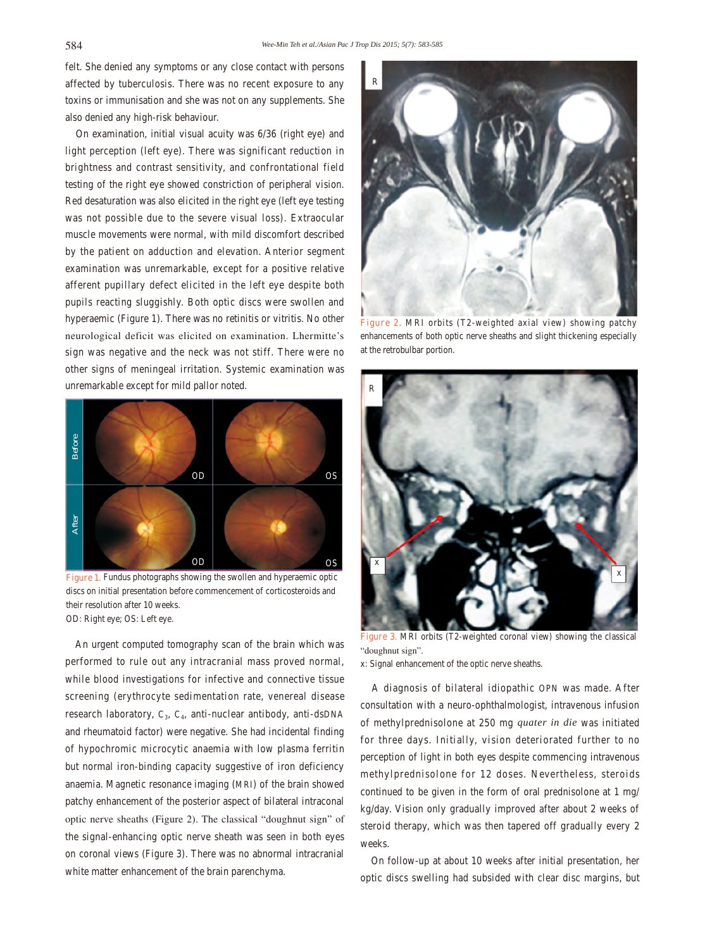felt. She denied any symptoms or any close contact with persons affected by tuberculosis. There was no recent exposure to any toxins or immunisation and she was not on any supplements. She also denied any high-risk behaviour.

 On examination, initial visual acuity was 6/36 (right eye) and light perception (left eye). There was significant reduction in brightness and contrast sensitivity, and confrontational field testing of the right eye showed constriction of peripheral vision. Red desaturation was also elicited in the right eye (left eye testing was not possible due to the severe visual loss). Extraocular muscle movements were normal, with mild discomfort described by the patient on adduction and elevation. Anterior segment examination was unremarkable, except for a positive relative afferent pupillary defect elicited in the left eye despite both pupils reacting sluggishly. Both optic discs were swollen and hyperaemic (Figure 1). There was no retinitis or vitritis. No other neurological deficit was elicited on examination. Lhermitte's sign was negative and the neck was not stiff. There were no other signs of meningeal irritation. Systemic examination was unremarkable except for mild pallor noted.



Figure 1. Fundus photographs showing the swollen and hyperaemic optic discs on initial presentation before commencement of corticosteroids and their resolution after 10 weeks. OD: Right eye; OS: Left eye.

 An urgent computed tomography scan of the brain which was performed to rule out any intracranial mass proved normal, while blood investigations for infective and connective tissue screening (erythrocyte sedimentation rate, venereal disease research laboratory,  $C_3$ ,  $C_4$ , anti-nuclear antibody, anti-dsDNA and rheumatoid factor) were negative. She had incidental finding of hypochromic microcytic anaemia with low plasma ferritin but normal iron-binding capacity suggestive of iron deficiency anaemia. Magnetic resonance imaging (MRI) of the brain showed patchy enhancement of the posterior aspect of bilateral intraconal optic nerve sheaths (Figure 2). The classical "doughnut sign" of the signal-enhancing optic nerve sheath was seen in both eyes on coronal views (Figure 3). There was no abnormal intracranial white matter enhancement of the brain parenchyma.



**Figure 2.** MRI orbits (T2-weighted axial view) showing patchy enhancements of both optic nerve sheaths and slight thickening especially at the retrobulbar portion.



**Figure 3.** MRI orbits (T2-weighted coronal view) showing the classical "doughnut sign".

x: Signal enhancement of the optic nerve sheaths.

 A diagnosis of bilateral idiopathic OPN was made. After consultation with a neuro-ophthalmologist, intravenous infusion of methylprednisolone at 250 mg *quater in die* was initiated for three days. Initially, vision deteriorated further to no perception of light in both eyes despite commencing intravenous methylprednisolone for 12 doses. Nevertheless, steroids continued to be given in the form of oral prednisolone at 1 mg/ kg/day. Vision only gradually improved after about 2 weeks of steroid therapy, which was then tapered off gradually every 2 weeks.

 On follow-up at about 10 weeks after initial presentation, her optic discs swelling had subsided with clear disc margins, but